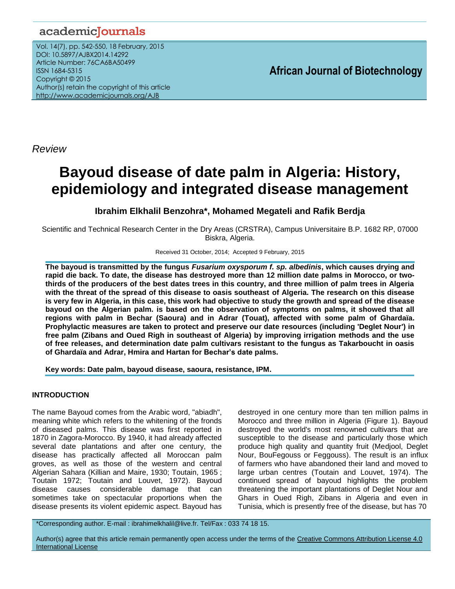# academicJournals

Vol. 14(7), pp. 542-550, 18 February, 2015 DOI: 10.5897/AJBX2014.14292 Article Number: 76CA6BA50499 ISSN 1684-5315 Copyright © 2015 Author(s) retain the copyright of this article <http://www.academicjournals.org/AJB>

**African Journal of Biotechnology**

*Review*

# **Bayoud disease of date palm in Algeria: History, epidemiology and integrated disease management**

# **Ibrahim Elkhalil Benzohra\*, Mohamed Megateli and Rafik Berdja**

Scientific and Technical Research Center in the Dry Areas (CRSTRA), Campus Universitaire B.P. 1682 RP, 07000 Biskra, Algeria.

#### Received 31 October, 2014; Accepted 9 February, 2015

**The bayoud is transmitted by the fungus** *Fusarium oxysporum f. sp. albedinis***, which causes drying and rapid die back. To date, the disease has destroyed more than 12 million date palms in Morocco, or twothirds of the producers of the best dates trees in this country, and three million of palm trees in Algeria with the threat of the spread of this disease to oasis southeast of Algeria. The research on this disease is very few in Algeria, in this case, this work had objective to study the growth and spread of the disease bayoud on the Algerian palm. is based on the observation of symptoms on palms, it showed that all regions with palm in Bechar (Saoura) and in Adrar (Touat), affected with some palm of Ghardaïa. Prophylactic measures are taken to protect and preserve our date resources (including 'Deglet Nour') in free palm (Zibans and Oued Righ in southeast of Algeria) by improving irrigation methods and the use of free releases, and determination date palm cultivars resistant to the fungus as Takarboucht in oasis of Ghardaïa and Adrar, Hmira and Hartan for Bechar's date palms.**

**Key words: Date palm, bayoud disease, saoura, resistance, IPM.**

# **INTRODUCTION**

The name Bayoud comes from the Arabic word, "abiadh", meaning white which refers to the whitening of the fronds of diseased palms. This disease was first reported in 1870 in Zagora-Morocco. By 1940, it had already affected several date plantations and after one century, the disease has practically affected all Moroccan palm groves, as well as those of the western and central Algerian Sahara (Killian and Maire, 1930; Toutain, 1965 ; Toutain 1972; Toutain and Louvet, 1972). Bayoud disease causes considerable damage that can sometimes take on spectacular proportions when the disease presents its violent epidemic aspect. Bayoud has destroyed in one century more than ten million palms in Morocco and three million in Algeria (Figure 1). Bayoud destroyed the world's most renowned cultivars that are susceptible to the disease and particularly those which produce high quality and quantity fruit (Medjool, Deglet Nour, BouFegouss or Feggouss). The result is an influx of farmers who have abandoned their land and moved to large urban centres (Toutain and Louvet, 1974). The continued spread of bayoud highlights the problem threatening the important plantations of Deglet Nour and Ghars in Oued Righ, Zibans in Algeria and even in Tunisia, which is presently free of the disease, but has 70

\*Corresponding author. E-mail : ibrahimelkhalil@live.fr. Tel/Fax : 033 74 18 15.

Author(s) agree that this article remain permanently open access under the terms of the Creative Commons Attribution License 4.0 [International License](http://creativecommons.org/licenses/by/4.0/deed.en_US)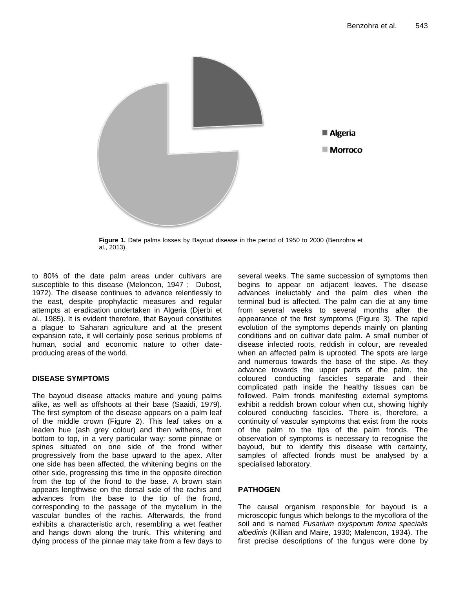

**Figure 1.** Date palms losses by Bayoud disease in the period of 1950 to 2000 (Benzohra et al., 2013).

to 80% of the date palm areas under cultivars are susceptible to this disease (Meloncon, 1947 ; Dubost, 1972). The disease continues to advance relentlessly to the east, despite prophylactic measures and regular attempts at eradication undertaken in Algeria (Djerbi et al., 1985). It is evident therefore, that Bayoud constitutes a plague to Saharan agriculture and at the present expansion rate, it will certainly pose serious problems of human, social and economic nature to other dateproducing areas of the world.

# **DISEASE SYMPTOMS**

The bayoud disease attacks mature and young palms alike, as well as offshoots at their base (Saaidi, 1979). The first symptom of the disease appears on a palm leaf of the middle crown (Figure 2). This leaf takes on a leaden hue (ash grey colour) and then withens, from bottom to top, in a very particular way: some pinnae or spines situated on one side of the frond wither progressively from the base upward to the apex. After one side has been affected, the whitening begins on the other side, progressing this time in the opposite direction from the top of the frond to the base. A brown stain appears lengthwise on the dorsal side of the rachis and advances from the base to the tip of the frond, corresponding to the passage of the mycelium in the vascular bundles of the rachis. Afterwards, the frond exhibits a characteristic arch, resembling a wet feather and hangs down along the trunk. This whitening and dying process of the pinnae may take from a few days to several weeks. The same succession of symptoms then begins to appear on adjacent leaves. The disease advances ineluctably and the palm dies when the terminal bud is affected. The palm can die at any time from several weeks to several months after the appearance of the first symptoms (Figure 3). The rapid evolution of the symptoms depends mainly on planting conditions and on cultivar date palm. A small number of disease infected roots, reddish in colour, are revealed when an affected palm is uprooted. The spots are large and numerous towards the base of the stipe. As they advance towards the upper parts of the palm, the coloured conducting fascicles separate and their complicated path inside the healthy tissues can be followed. Palm fronds manifesting external symptoms exhibit a reddish brown colour when cut, showing highly coloured conducting fascicles. There is, therefore, a continuity of vascular symptoms that exist from the roots of the palm to the tips of the palm fronds. The observation of symptoms is necessary to recognise the bayoud, but to identify this disease with certainty, samples of affected fronds must be analysed by a specialised laboratory.

# **PATHOGEN**

The causal organism responsible for bayoud is a microscopic fungus which belongs to the mycoflora of the soil and is named *Fusarium oxysporum forma specialis albedinis* (Killian and Maire, 1930; Malencon, 1934). The first precise descriptions of the fungus were done by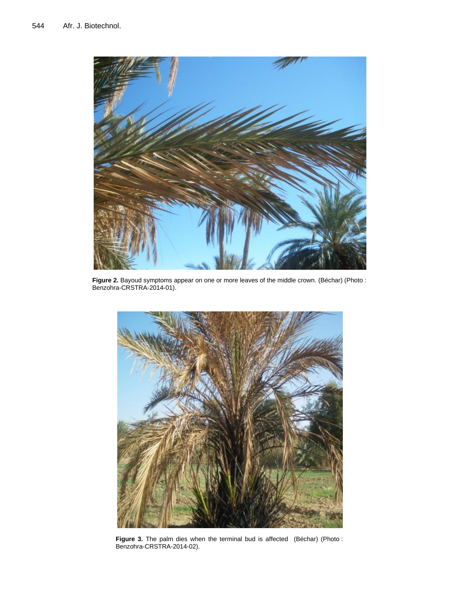

Figure 2. Bayoud symptoms appear on one or more leaves of the middle crown. (Béchar) (Photo : Benzohra-CRSTRA-2014-01).



**Figure 3.** The palm dies when the terminal bud is affected (Béchar) (Photo : Benzohra-CRSTRA-2014-02).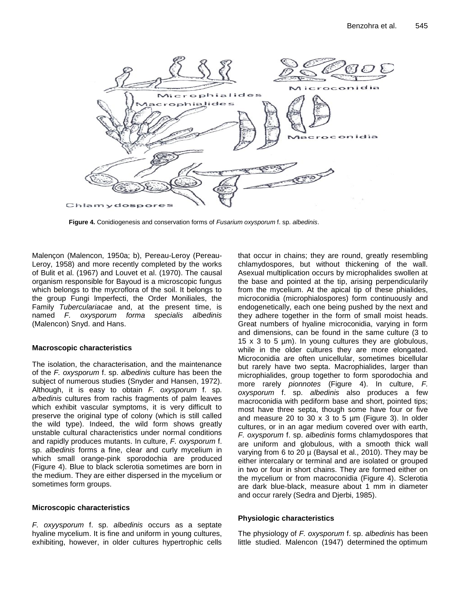

**Figure 4.** Conidiogenesis and conservation forms of *Fusarium oxysporum* f. sp. *albedinis*.

Malençon (Malencon, 1950a; b), Pereau-Leroy (Pereau-Leroy, 1958) and more recently completed by the works of Bulit et al. (1967) and Louvet et al. (1970). The causal organism responsible for Bayoud is a microscopic fungus which belongs to the mycroflora of the soil. It belongs to the group Fungi lmperfecti, the Order Moniliales, the Family *Tuberculariacae* and, at the present time, is named *F. oxysporum forma specialis albedinis* (Malencon) Snyd. and Hans.

# **Macroscopic characteristics**

The isolation, the characterisation, and the maintenance of the *F. oxysporum* f. sp. *albedinis* culture has been the subject of numerous studies (Snyder and Hansen, 1972). Although, it is easy to obtain *F. oxysporum* f. sp. *a/bedinis* cultures from rachis fragments of palm leaves which exhibit vascular symptoms, it is very difficult to preserve the original type of colony (which is still called the wild type). Indeed, the wild form shows greatly unstable cultural characteristics under normal conditions and rapidly produces mutants. In culture, *F. oxysporum* f. sp. *albedinis* forms a fine, clear and curly mycelium in which small orange-pink sporodochia are produced (Figure 4). Blue to black sclerotia sometimes are born in the medium. They are either dispersed in the mycelium or sometimes form groups.

# **Microscopic characteristics**

*F. oxyysporum* f. sp. *albedinis* occurs as a septate hyaline mycelium. It is fine and uniform in young cultures, exhibiting, however, in older cultures hypertrophic cells

that occur in chains; they are round, greatly resembling chlamydospores, but without thickening of the wall. Asexual multiplication occurs by microphalides swollen at the base and pointed at the tip, arising perpendicularily from the mycelium. At the apical tip of these phialides, microconidia (microphialospores) form continuously and endogenetically, each one being pushed by the next and they adhere together in the form of small moist heads. Great numbers of hyaline microconidia, varying in form and dimensions, can be found in the same culture (3 to 15 x 3 to 5 µm). In young cultures they are globulous, while in the older cultures they are more elongated. Microconidia are often unicellular, sometimes bicellular but rarely have two septa. Macrophialides, larger than microphialides, group together to form sporodochia and more rarely *pionnotes* (Figure 4). In culture, *F. oxysporum* f. sp. *albedinis* also produces a few macroconidia with pediform base and short, pointed tips; most have three septa, though some have four or five and measure 20 to 30  $\times$  3 to 5  $\mu$ m (Figure 3). In older cultures, or in an agar medium covered over with earth, *F. oxysporum* f. sp. *albedinis* forms chlamydospores that are uniform and globulous, with a smooth thick wall varying from 6 to 20  $\mu$  (Baysal et al., 2010). They may be either intercalary or terminal and are isolated or grouped in two or four in short chains. They are formed either on the mycelium or from macroconidia (Figure 4). Sclerotia are dark blue-black, measure about 1 mm in diameter and occur rarely (Sedra and Djerbi, 1985).

# **Physiologic characteristics**

The physiology of *F. oxysporum* f. sp. *albedinis* has been little studied. Malencon (1947) determined the optimum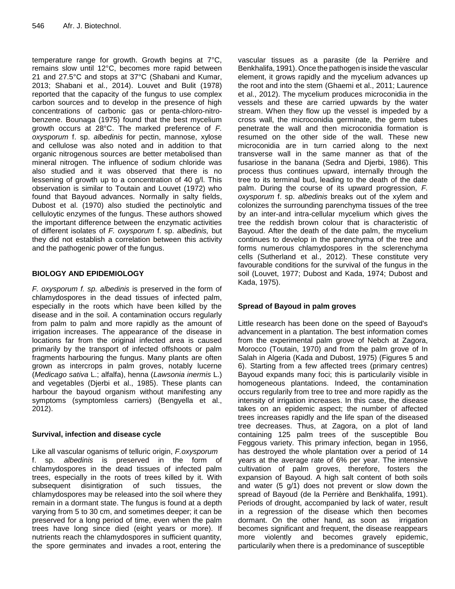temperature range for growth. Growth begins at 7°C, remains slow until 12°C, becomes more rapid between 21 and 27.5°C and stops at 37°C (Shabani and Kumar, 2013; Shabani et al., 2014). Louvet and Bulit (1978) reported that the capacity of the fungus to use complex carbon sources and to develop in the presence of high concentrations of carbonic gas or penta-chloro-nitrobenzene. Bounaga (1975) found that the best mycelium growth occurs at 28°C. The marked preference of *F. oxysporum* f. sp. *albedinis* for pectin, mannose, xylose and cellulose was also noted and in addition to that organic nitrogenous sources are better metabolised than mineral nitrogen. The influence of sodium chloride was also studied and it was observed that there is no lessening of growth up to a concentration of 40 g/l. This observation is similar to Toutain and Louvet (1972) who found that Bayoud advances. Normally in salty fields, Dubost et al. (1970) also studied the pectinolytic and celluloytic enzymes of the fungus. These authors showed the important difference between the enzymatic activities of different isolates of *F. oxysporum* f. sp. *albedinis,* but they did not establish a correlation between this activity and the pathogenic power of the fungus.

# **BIOLOGY AND EPIDEMIOLOGY**

*F. oxysporum f. sp. albedinis* is preserved in the form of chlamydospores in the dead tissues of infected palm, especially in the roots which have been killed by the disease and in the soil. A contamination occurs regularly from palm to palm and more rapidly as the amount of irrigation increases. The appearance of the disease in locations far from the original infected area is caused primarily by the transport of infected offshoots or palm fragments harbouring the fungus. Many plants are often grown as intercrops in palm groves, notably lucerne (*Medicago sativa* L.; alfalfa), henna (*Lawsonia inermis* L.) and vegetables (Djerbi et al., 1985). These plants can harbour the bayoud organism without manifesting any symptoms (symptomless carriers) (Bengyella et al., 2012).

# **Survival, infection and disease cycle**

Like all vascular oganisms of telluric origin, *F.oxysporum* f. sp. *albedinis* is preserved in the form of chlamydospores in the dead tissues of infected palm trees, especially in the roots of trees killed by it. With subsequent disintigration of such tissues, the chlamydospores may be released into the soil where they remain in a dormant state. The fungus is found at a depth varying from 5 to 30 cm, and sometimes deeper; it can be preserved for a long period of time, even when the palm trees have long since died (eight years or more). If nutrients reach the chlamydospores in sufficient quantity, the spore germinates and invades a root, entering the

vascular tissues as a parasite (de la Perrière and Benkhalifa, 1991). Once the pathogen is inside the vascular element, it grows rapidly and the mycelium advances up the root and into the stem (Ghaemi et al., 2011; Laurence et al., 2012). The mycelium produces microconidia in the vessels and these are carried upwards by the water stream. When they flow up the vessel is impeded by a cross wall, the microconidia germinate, the germ tubes penetrate the wall and then microconidia formation is resumed on the other side of the wall. These new microconidia are in turn carried along to the next transverse wall in the same manner as that of the fusariose in the banana (Sedra and Djerbi, 1986). This process thus continues upward, internally through the tree to its terminal bud, leading to the death of the date palm. During the course of its upward progression, *F. oxysporum* f. sp. *albedinis* breaks out of the xylem and colonizes the surrounding parenchyma tissues of the tree by an inter-and intra-cellular mycelium which gives the tree the reddish brown colour that is characteristic of Bayoud. After the death of the date palm, the mycelium continues to develop in the parenchyma of the tree and forms numerous chlamydospores in the sclerenchyma cells (Sutherland et al., 2012). These constitute very favourable conditions for the survival of the fungus in the soil (Louvet, 1977; Dubost and Kada, 1974; Dubost and Kada, 1975).

# **Spread of Bayoud in palm groves**

Little research has been done on the speed of Bayoud's advancement in a plantation. The best information comes from the experimental palm grove of Nebch at Zagora, Morocco (Toutain, 1970) and from the palm grove of In Salah in Algeria (Kada and Dubost, 1975) (Figures 5 and 6). Starting from a few affected trees (primary centres) Bayoud expands many foci; this is particularily visible in homogeneous plantations. Indeed, the contamination occurs regularily from tree to tree and more rapidly as the intensity of irrigation increases. In this case, the disease takes on an epidemic aspect; the number of affected trees increases rapidly and the life span of the diseased tree decreases. Thus, at Zagora, on a plot of land containing 125 palm trees of the susceptible Bou Feggous variety. This primary infection, began in 1956, has destroyed the whole plantation over a period of 14 years at the average rate of 6% per year. The intensive cultivation of palm groves, therefore, fosters the expansion of Bayoud. A high salt content of both soils and water (5 g/1) does not prevent or slow down the spread of Bayoud (de la Perrière and Benkhalifa, 1991). Periods of drought, accompanied by lack of water, result in a regression of the disease which then becomes dormant. On the other hand, as soon as irrigation becomes significant and frequent, the disease reappears more violently and becomes gravely epidemic, particularily when there is a predominance of susceptible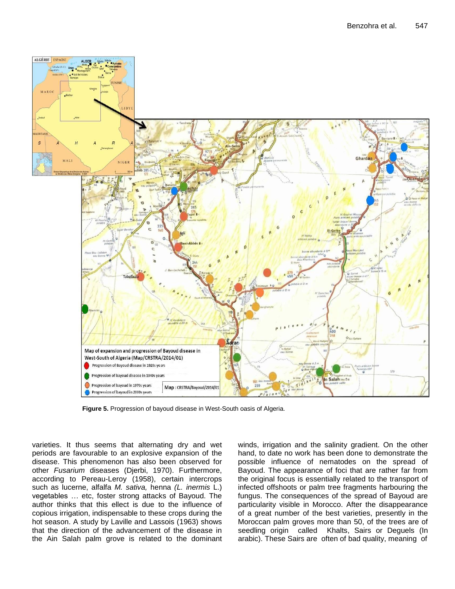

**Figure 5.** Progression of bayoud disease in West-South oasis of Algeria.

varieties. It thus seems that alternating dry and wet periods are favourable to an explosive expansion of the disease. This phenomenon has also been observed for other *Fusarium* diseases (Djerbi, 1970). Furthermore, according to Pereau-Leroy (1958), certain intercrops such as lucerne, alfalfa *M. sativa,* henna *(L. inermis* L.) vegetables … etc, foster strong attacks of Bayoud. The author thinks that this ellect is due to the influence of copious irrigation, indispensable to these crops during the hot season. A study by Laville and Lassois (1963) shows that the direction of the advancement of the disease in the Ain Salah palm grove is related to the dominant

winds, irrigation and the salinity gradient. On the other hand, to date no work has been done to demonstrate the possible influence of nematodes on the spread of Bayoud. The appearance of foci that are rather far from the original focus is essentially related to the transport of infected offshoots or palm tree fragments harbouring the fungus. The consequences of the spread of Bayoud are particularity visible in Morocco. After the disappearance of a great number of the best varieties, presently in the Moroccan palm groves more than 50, of the trees are of seedling origin called Khalts, Sairs or Deguels (In arabic). These Sairs are often of bad quality, meaning of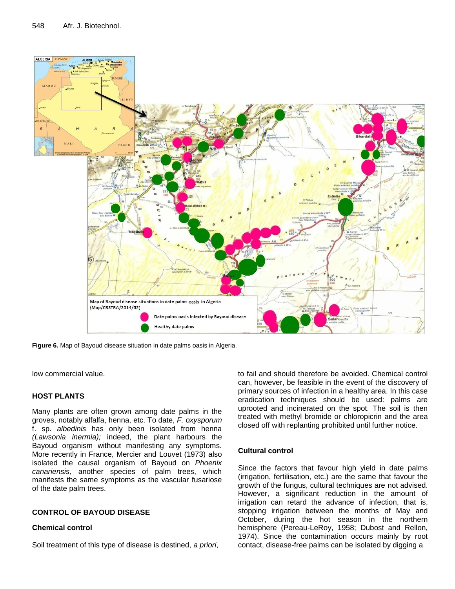

**Figure 6.** Map of Bayoud disease situation in date palms oasis in Algeria.

low commercial value.

# **HOST PLANTS**

Many plants are often grown among date palms in the groves, notably alfalfa, henna, etc. To date, *F. oxysporum*  f. sp. *albedinis* has only been isolated from henna *(Lawsonia inermia);* indeed, the plant harbours the Bayoud organism without manifesting any symptoms. More recently in France, Mercier and Louvet (1973) also isolated the causal organism of Bayoud on *Phoenix canariensis,* another species of palm trees, which manifests the same symptoms as the vascular fusariose of the date palm trees.

#### **CONTROL OF BAYOUD DISEASE**

#### **Chemical control**

Soil treatment of this type of disease is destined, *a priori*,

to fail and should therefore be avoided. Chemical control can, however, be feasible in the event of the discovery of primary sources of infection in a healthy area. In this case eradication techniques should be used: palms are uprooted and incinerated on the spot. The soil is then treated with methyl bromide or chloropicrin and the area closed off with replanting prohibited until further notice.

# **Cultural control**

Since the factors that favour high yield in date palms (irrigation, fertilisation, etc.) are the same that favour the growth of the fungus, cultural techniques are not advised. However, a significant reduction in the amount of irrigation can retard the advance of infection, that is, stopping irrigation between the months of May and October, during the hot season in the northern hemisphere (Pereau-LeRoy, 1958; Dubost and Rellon, 1974). Since the contamination occurs mainly by root contact, disease-free palms can be isolated by digging a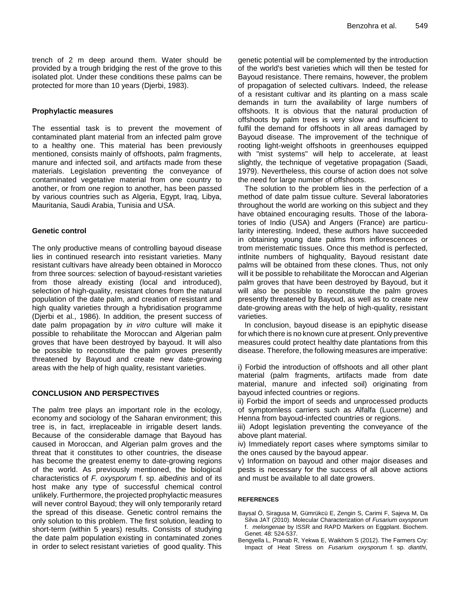trench of 2 m deep around them. Water should be provided by a trough bridging the rest of the grove to this isolated plot. Under these conditions these palms can be protected for more than 10 years (Djerbi, 1983).

### **Prophylactic measures**

The essential task is to prevent the movement of contaminated plant material from an infected palm grove to a healthy one. This material has been previously mentioned, consists mainly of offshoots, palm fragments, manure and infected soil, and artifacts made from these materials. Legislation preventing the conveyance of contaminated vegetative material from one country to another, or from one region to another, has been passed by various countries such as Algeria, Egypt, Iraq, Libya, Mauritania, Saudi Arabia, Tunisia and USA.

### **Genetic control**

The only productive means of controlling bayoud disease lies in continued research into resistant varieties. Many resistant cultivars have already been obtained in Morocco from three sources: selection of bayoud-resistant varieties from those already existing (local and introduced), selection of high-quality, resistant clones from the natural population of the date palm, and creation of resistant and high quality varieties through a hybridisation programme (Djerbi et al., 1986). In addition, the present success of date palm propagation by *in vitro* culture will make it possible to rehabilitate the Moroccan and Algerian palm groves that have been destroyed by bayoud. It will also be possible to reconstitute the palm groves presently threatened by Bayoud and create new date-growing areas with the help of high quality, resistant varieties.

# **CONCLUSION AND PERSPECTIVES**

The palm tree plays an important role in the ecology, economy and sociology of the Saharan environment; this tree is, in fact, irreplaceable in irrigable desert lands. Because of the considerable damage that Bayoud has caused in Moroccan, and Algerian palm groves and the threat that it constitutes to other countries, the disease has become the greatest enemy to date-growing regions of the world. As previously mentioned, the biological characteristics of *F. oxysporum* f. sp. *albedinis* and of its host make any type of successful chemical control unlikely. Furthermore, the projected prophylactic measures will never control Bayoud; they will only temporarily retard the spread of this disease. Genetic control remains the only solution to this problem. The first solution, leading to short-term (within 5 years) results. Consists of studying the date palm population existing in contaminated zones in order to select resistant varieties of good quality. This genetic potential will be complemented by the introduction of the world's best varieties which will then be tested for Bayoud resistance. There remains, however, the problem of propagation of selected cultivars. Indeed, the release of a resistant cultivar and its planting on a mass scale demands in turn the availability of large numbers of offshoots. It is obvious that the natural production of offshoots by palm trees is very slow and insufficient to fulfil the demand for offshoots in all areas damaged by Bayoud disease. The improvement of the technique of rooting light-weight offshoots in greenhouses equipped with "mist systems" will help to accelerate, at least slightly, the technique of vegetative propagation (Saadi, 1979). Nevertheless, this course of action does not solve the need for large number of offshoots.

The solution to the problem lies in the perfection of a method of date palm tissue culture. Several laboratories throughout the world are working on this subject and they have obtained encouraging results. Those of the laboratories of Indio (USA) and Angers (France) are particularity interesting. Indeed, these authors have succeeded in obtaining young date palms from inflorescences or trom meristematic tissues. Once this method is perfected, intlnite numbers of highquality, Bayoud resistant date palms will be obtained from these clones. Thus, not only will it be possible to rehabilitate the Moroccan and Algerian palm groves that have been destroyed by Bayoud, but it will also be possible to reconstitute the palm groves presently threatened by Bayoud, as well as to create new date-growing areas with the help of high-quality, resistant varieties.

In conclusion, bayoud disease is an epiphytic disease for which there is no known cure at present. Only preventive measures could protect healthy date plantations from this disease. Therefore, the following measures are imperative:

i) Forbid the introduction of offshoots and all other plant material (palm fragments, artifacts made from date material, manure and infected soil) originating from bayoud infected countries or regions.

ii) Forbid the import of seeds and unprocessed products of symptomless carriers such as Alfalfa (Lucerne) and Henna from bayoud-infected countries or regions.

iii) Adopt legislation preventing the conveyance of the above plant material.

iv) Immediately report cases where symptoms similar to the ones caused by the bayoud appear.

v) Information on bayoud and other major diseases and pests is necessary for the success of all above actions and must be available to all date growers.

#### **REFERENCES**

- Baysal Ö, Siragusa M, Gümrükcü E, Zengin S, Carimi F, Sajeva M, Da Silva JAT (2010). Molecular Characterization of *Fusarium oxysporum* f. *melongenae* by ISSR and RAPD Markers on Eggplant. Biochem. Genet. 48: 524-537.
- Bengyella L, Pranab R, Yekwa E, Waikhom S (2012). The Farmers Cry: Impact of Heat Stress on *Fusarium oxysporum* f. sp. *dianthi*,